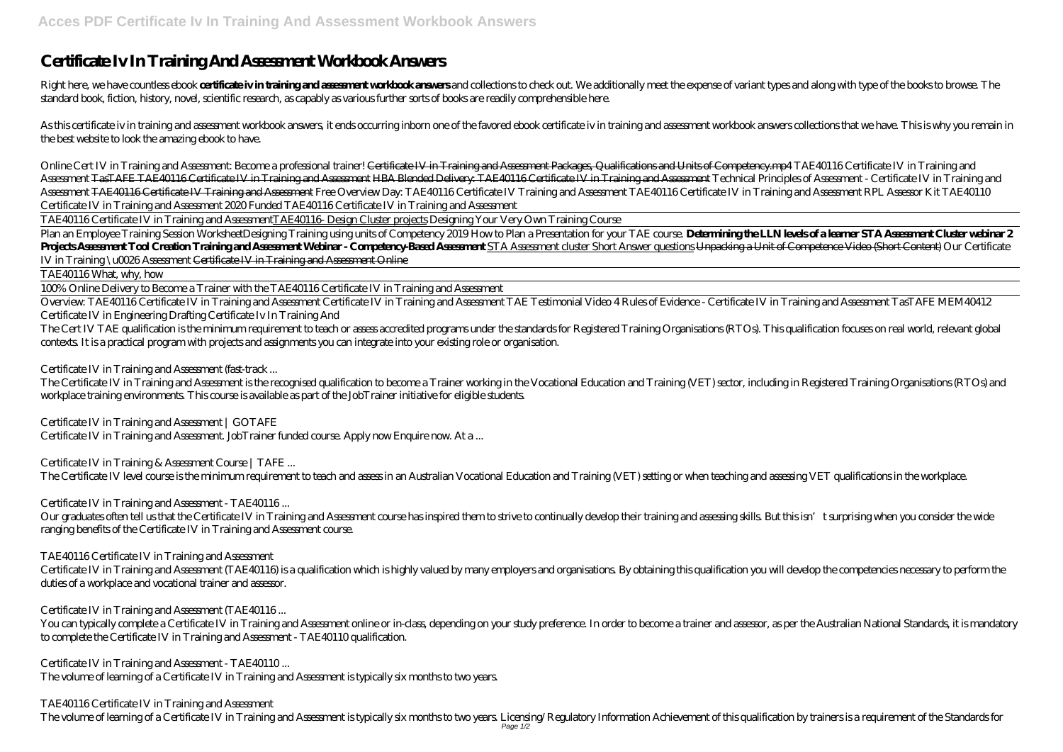# **Certificate Iv In Training And Assessment Workbook Answers**

Right here, we have countless ebook certificate iv in training and assessment workhook answers and collections to check out. We additionally meet the expense of variant types and along with type of the books to browse. The standard book, fiction, history, novel, scientific research, as capably as various further sorts of books are readily comprehensible here.

As this certificate iv in training and assessment workbook answers, it ends occurring inborn one of the favored ebook certificate iv in training and assessment workbook answers collections that we have. This is why you rem the best website to look the amazing ebook to have.

*Online Cert IV in Training and Assessment: Become a professional trainer!* <del>Certificate IV in Training and Assessment Packages, Qualifications and Units of Competency.mp4 TAE40116 Certificate IV in Training and</del> Assessment TasTAFE TAE40116 Certificate IV in Training and Assessment HBA Blended Delivery: TAE40116 Certificate IV in Training and Assessment Technical Principles of Assessment - Certificate IV in Training and Assessment <del>TAE40116 Certificate IV Training and Assessment</del> Free Overview Day: TAE40116 Certificate IV at TAE40116 Assessment RPL Assessment RPL Assessor Kit TAE40110 Certificate IV in Training and Assessment 2020 Funded TAE40116 Certificate IV in Training and Assessment

Plan an Employee Training Session Worksheet Designing Training using units of Competency 2019 How to Plan a Presentation for your TAE course. Determining the LLN levels of a learner STA Assessment Cluster webinar 2 Projects Assessment Tool Creation Training and Assessment Webinar-Competency Based Assessment cluster Short Answer questions Umpacking a Unit of Competence Video (Short Content) Our Certificate *IV in Training \u0026 Assessment* Certificate IV in Training and Assessment Online

Overview: TAE40116 Certificate IV in Training and Assessment Certificate IV in Training and Assessment Tastage IV in Training and Assessment TasTAFE MEM40412 Certificate IV in Engineering Drafting *Certificate Iv In Training And*

The Cert IV TAE qualification is the minimum requirement to teach or assess accredited programs under the standards for Registered Training Organisations (RTOs). This qualification focuses on real world, relevant global contexts. It is a practical program with projects and assignments you can integrate into your existing role or organisation.

TAE40116 Certificate IV in Training and AssessmentTAE40116- Design Cluster projects Designing Your Very Own Training Course

Our graduates often tell us that the Certificate IV in Training and Assessment course has inspired them to strive to continually develop their training and assessing skills. But this isn't surprising when you consider the ranging benefits of the Certificate IV in Training and Assessment course.

TAE40116 What, why, how

100% Online Delivery to Become a Trainer with the TAE40116 Certificate IV in Training and Assessment

You can typically complete a Certificate IV in Training and Assessment online or in-dass, depending on your study preference. In order to become a trainer and assessor, as per the Australian National Standards, it is manda to complete the Certificate IV in Training and Assessment - TAE40110 qualification.

# *Certificate IV in Training and Assessment (fast-track ...*

The Certificate IV in Training and Assessment is the recognised qualification to become a Trainer working in the Vocational Education and Training (VET) sector, including in Registered Training Organisations (RTOs) and workplace training environments. This course is available as part of the JobTrainer initiative for eligible students.

# *Certificate IV in Training and Assessment | GOTAFE*

Certificate IV in Training and Assessment. JobTrainer funded course. Apply now Enquire now. At a ...

# *Certificate IV in Training & Assessment Course | TAFE ...*

The Certificate IV level course is the minimum requirement to teach and assess in an Australian Vocational Education and Training (VET) setting or when teaching and assessing VET qualifications in the workplace.

# *Certificate IV in Training and Assessment - TAE40116 ...*

### *TAE40116 Certificate IV in Training and Assessment*

Certificate IV in Training and Assessment (TAE40116) is a qualification which is highly valued by many employers and organisations. By obtaining this qualification you will develop the competencies necessary to perform the duties of a workplace and vocational trainer and assessor.

### *Certificate IV in Training and Assessment (TAE40116 ...*

# *Certificate IV in Training and Assessment - TAE40110 ...*

The volume of learning of a Certificate IV in Training and Assessment is typically six months to two years.

# *TAE40116 Certificate IV in Training and Assessment*

The volume of learning of a Certificate IV in Training and Assessment is typically six months to two years. Licensing/Regulatory Information Achievement of this qualification by trainers is a requirement of the Standards f